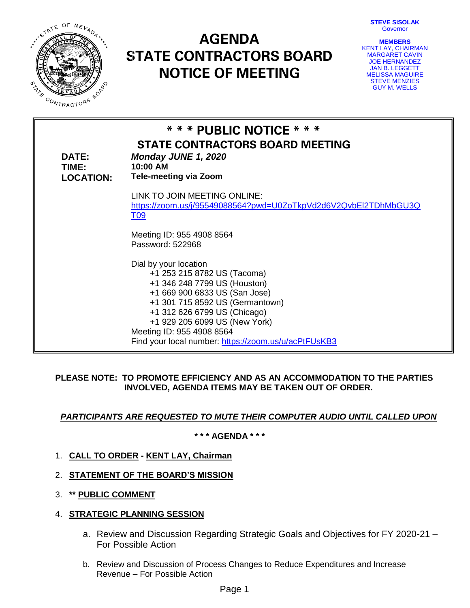**STEVE SISOLAK** Governor



# **AGENDA STATE CONTRACTORS BOARD NOTICE OF MEETING**

| <b>MEMBERS</b>         |
|------------------------|
| KENT LAY, CHAIRMAN     |
| <b>MARGARET CAVIN</b>  |
| <b>JOE HERNANDEZ</b>   |
| <b>JAN B. LEGGETT</b>  |
| <b>MELISSA MAGUIRE</b> |
| <b>STEVE MENZIES</b>   |
| <b>GUY M. WELLS</b>    |

| DATE:<br>TIME:<br><b>LOCATION:</b> | * * * PUBLIC NOTICE * * *<br><b>STATE CONTRACTORS BOARD MEETING</b><br>Monday JUNE 1, 2020<br>10:00 AM<br><b>Tele-meeting via Zoom</b>                                                                                                                                                                         |
|------------------------------------|----------------------------------------------------------------------------------------------------------------------------------------------------------------------------------------------------------------------------------------------------------------------------------------------------------------|
|                                    | LINK TO JOIN MEETING ONLINE:<br>https://zoom.us/j/95549088564?pwd=U0ZoTkpVd2d6V2QvbEI2TDhMbGU3Q<br><u>T09</u>                                                                                                                                                                                                  |
|                                    | Meeting ID: 955 4908 8564<br>Password: 522968                                                                                                                                                                                                                                                                  |
|                                    | Dial by your location<br>+1 253 215 8782 US (Tacoma)<br>+1 346 248 7799 US (Houston)<br>+1 669 900 6833 US (San Jose)<br>+1 301 715 8592 US (Germantown)<br>+1 312 626 6799 US (Chicago)<br>+1 929 205 6099 US (New York)<br>Meeting ID: 955 4908 8564<br>Find your local number: https://zoom.us/u/acPtFUsKB3 |

## **PLEASE NOTE: TO PROMOTE EFFICIENCY AND AS AN ACCOMMODATION TO THE PARTIES INVOLVED, AGENDA ITEMS MAY BE TAKEN OUT OF ORDER.**

# *PARTICIPANTS ARE REQUESTED TO MUTE THEIR COMPUTER AUDIO UNTIL CALLED UPON*

## **\* \* \* AGENDA \* \* \***

- 1. **CALL TO ORDER - KENT LAY, Chairman**
- 2. **STATEMENT OF THE BOARD'S MISSION**
- 3. **\*\* PUBLIC COMMENT**
- 4. **STRATEGIC PLANNING SESSION**
	- a. Review and Discussion Regarding Strategic Goals and Objectives for FY 2020-21 For Possible Action
	- b. Review and Discussion of Process Changes to Reduce Expenditures and Increase Revenue – For Possible Action